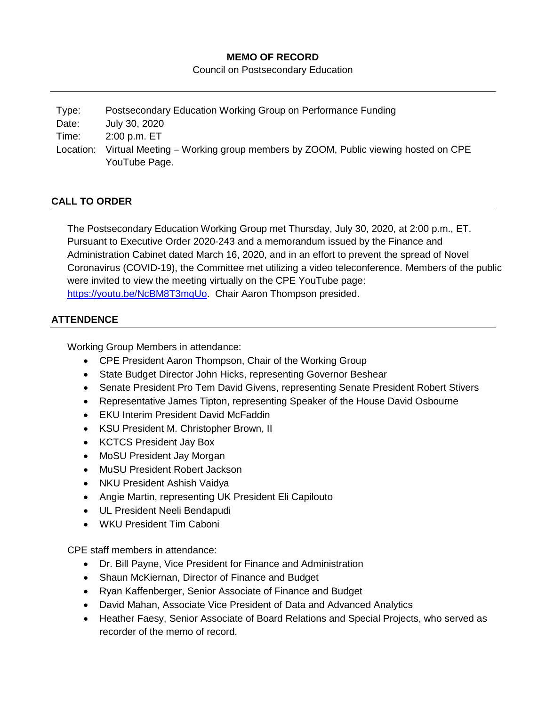### **MEMO OF RECORD**

Council on Postsecondary Education

| Type:     | Postsecondary Education Working Group on Performance Funding                  |
|-----------|-------------------------------------------------------------------------------|
| Date:     | July 30, 2020                                                                 |
| Time:     | 2:00 p.m. ET                                                                  |
| Location: | Virtual Meeting – Working group members by ZOOM, Public viewing hosted on CPE |
|           | YouTube Page.                                                                 |

# **CALL TO ORDER**

The Postsecondary Education Working Group met Thursday, July 30, 2020, at 2:00 p.m., ET. Pursuant to Executive Order 2020-243 and a memorandum issued by the Finance and Administration Cabinet dated March 16, 2020, and in an effort to prevent the spread of Novel Coronavirus (COVID-19), the Committee met utilizing a video teleconference. Members of the public were invited to view the meeting virtually on the CPE YouTube page: [https://youtu.be/NcBM8T3mqUo.](https://youtu.be/NcBM8T3mqUo) Chair Aaron Thompson presided.

## **ATTENDENCE**

Working Group Members in attendance:

- CPE President Aaron Thompson, Chair of the Working Group
- State Budget Director John Hicks, representing Governor Beshear
- Senate President Pro Tem David Givens, representing Senate President Robert Stivers
- Representative James Tipton, representing Speaker of the House David Osbourne
- EKU Interim President David McFaddin
- KSU President M. Christopher Brown, II
- KCTCS President Jay Box
- MoSU President Jay Morgan
- MuSU President Robert Jackson
- NKU President Ashish Vaidva
- Angie Martin, representing UK President Eli Capilouto
- UL President Neeli Bendapudi
- WKU President Tim Caboni

CPE staff members in attendance:

- Dr. Bill Payne, Vice President for Finance and Administration
- Shaun McKiernan, Director of Finance and Budget
- Ryan Kaffenberger, Senior Associate of Finance and Budget
- David Mahan, Associate Vice President of Data and Advanced Analytics
- Heather Faesy, Senior Associate of Board Relations and Special Projects, who served as recorder of the memo of record.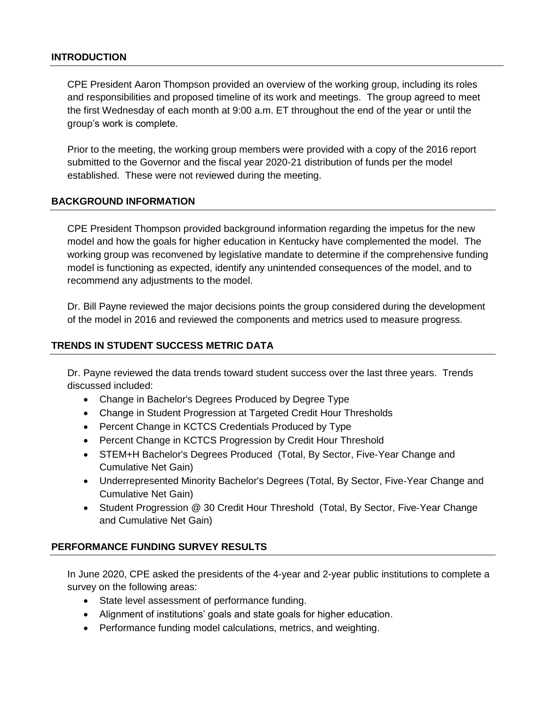#### **INTRODUCTION**

CPE President Aaron Thompson provided an overview of the working group, including its roles and responsibilities and proposed timeline of its work and meetings. The group agreed to meet the first Wednesday of each month at 9:00 a.m. ET throughout the end of the year or until the group's work is complete.

Prior to the meeting, the working group members were provided with a copy of the 2016 report submitted to the Governor and the fiscal year 2020-21 distribution of funds per the model established. These were not reviewed during the meeting.

### **BACKGROUND INFORMATION**

CPE President Thompson provided background information regarding the impetus for the new model and how the goals for higher education in Kentucky have complemented the model. The working group was reconvened by legislative mandate to determine if the comprehensive funding model is functioning as expected, identify any unintended consequences of the model, and to recommend any adjustments to the model.

Dr. Bill Payne reviewed the major decisions points the group considered during the development of the model in 2016 and reviewed the components and metrics used to measure progress.

#### **TRENDS IN STUDENT SUCCESS METRIC DATA**

Dr. Payne reviewed the data trends toward student success over the last three years. Trends discussed included:

- Change in Bachelor's Degrees Produced by Degree Type
- Change in Student Progression at Targeted Credit Hour Thresholds
- Percent Change in KCTCS Credentials Produced by Type
- Percent Change in KCTCS Progression by Credit Hour Threshold
- STEM+H Bachelor's Degrees Produced (Total, By Sector, Five-Year Change and Cumulative Net Gain)
- Underrepresented Minority Bachelor's Degrees (Total, By Sector, Five‐Year Change and Cumulative Net Gain)
- Student Progression @ 30 Credit Hour Threshold (Total, By Sector, Five‐Year Change and Cumulative Net Gain)

### **PERFORMANCE FUNDING SURVEY RESULTS**

In June 2020, CPE asked the presidents of the 4-year and 2-year public institutions to complete a survey on the following areas:

- State level assessment of performance funding.
- Alignment of institutions' goals and state goals for higher education.
- Performance funding model calculations, metrics, and weighting.